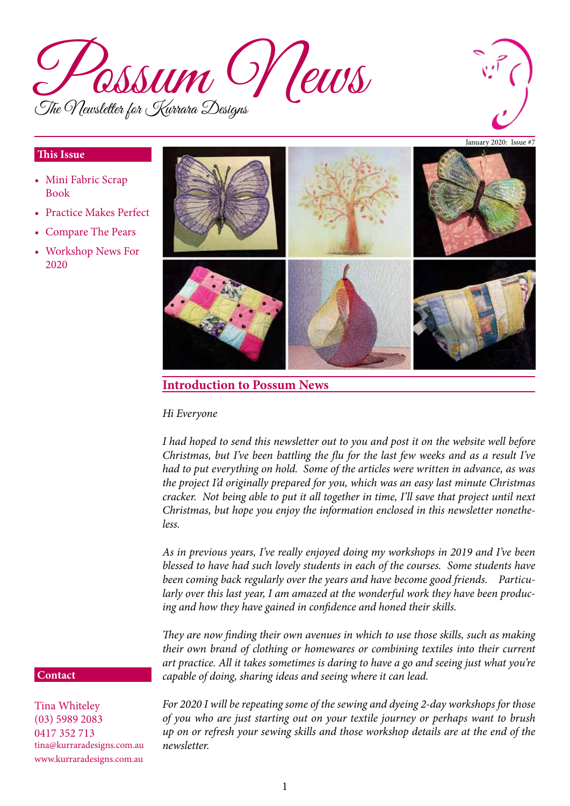



#### **This Issue**

- Mini Fabric Scrap Book
- Practice Makes Perfect
- **Compare The Pears**
- • Workshop News For 2020



# **Introduction to Possum News**

#### *Hi Everyone*

*I had hoped to send this newsletter out to you and post it on the website well before Christmas, but I've been battling the flu for the last few weeks and as a result I've had to put everything on hold. Some of the articles were written in advance, as was the project I'd originally prepared for you, which was an easy last minute Christmas cracker. Not being able to put it all together in time, I'll save that project until next Christmas, but hope you enjoy the information enclosed in this newsletter nonetheless.*

*As in previous years, I've really enjoyed doing my workshops in 2019 and I've been blessed to have had such lovely students in each of the courses. Some students have been coming back regularly over the years and have become good friends. Particularly over this last year, I am amazed at the wonderful work they have been producing and how they have gained in confidence and honed their skills.* 

*They are now finding their own avenues in which to use those skills, such as making their own brand of clothing or homewares or combining textiles into their current art practice. All it takes sometimes is daring to have a go and seeing just what you're capable of doing, sharing ideas and seeing where it can lead.*

### **Contact**

Tina Whiteley (03) 5989 2083 0417 352 713 tina@kurraradesigns.com.au www.kurraradesigns.com.au

*For 2020 I will be repeating some of the sewing and dyeing 2-day workshops for those of you who are just starting out on your textile journey or perhaps want to brush up on or refresh your sewing skills and those workshop details are at the end of the newsletter.*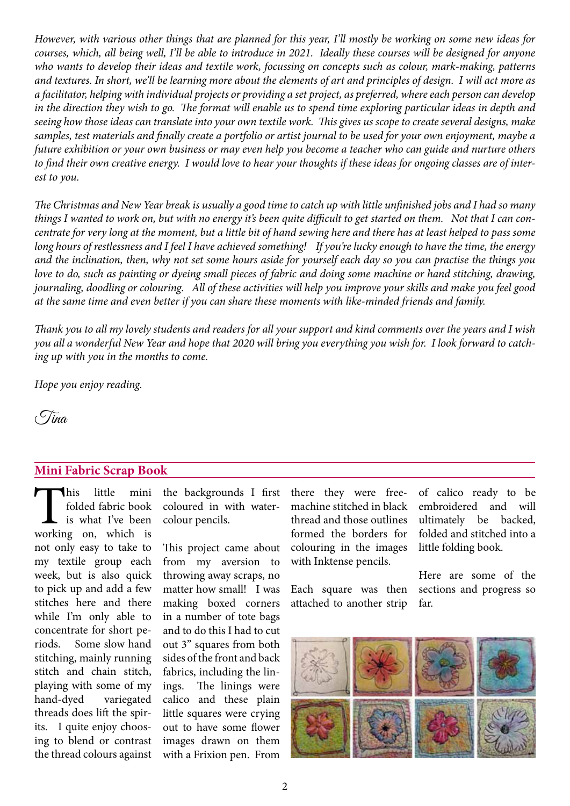*However, with various other things that are planned for this year, I'll mostly be working on some new ideas for courses, which, all being well, I'll be able to introduce in 2021. Ideally these courses will be designed for anyone who wants to develop their ideas and textile work, focussing on concepts such as colour, mark-making, patterns and textures. In short, we'll be learning more about the elements of art and principles of design. I will act more as a facilitator, helping with individual projects or providing a set project, as preferred, where each person can develop in the direction they wish to go. The format will enable us to spend time exploring particular ideas in depth and seeing how those ideas can translate into your own textile work. This gives us scope to create several designs, make samples, test materials and finally create a portfolio or artist journal to be used for your own enjoyment, maybe a future exhibition or your own business or may even help you become a teacher who can guide and nurture others to find their own creative energy. I would love to hear your thoughts if these ideas for ongoing classes are of interest to you.*

*The Christmas and New Year break is usually a good time to catch up with little unfinished jobs and I had so many things I wanted to work on, but with no energy it's been quite difficult to get started on them. Not that I can concentrate for very long at the moment, but a little bit of hand sewing here and there has at least helped to pass some long hours of restlessness and I feel I have achieved something! If you're lucky enough to have the time, the energy and the inclination, then, why not set some hours aside for yourself each day so you can practise the things you*  love to do, such as painting or dyeing small pieces of fabric and doing some machine or hand stitching, drawing, *journaling, doodling or colouring. All of these activities will help you improve your skills and make you feel good at the same time and even better if you can share these moments with like-minded friends and family.* 

*Thank you to all my lovely students and readers for all your support and kind comments over the years and I wish you all a wonderful New Year and hope that 2020 will bring you everything you wish for. I look forward to catching up with you in the months to come.*

*Hope you enjoy reading.*

 $\sqrt{C}$ ina

# **Mini Fabric Scrap Book**

This little mini<br>folded fabric book<br>is what I've been<br>working on, which is folded fabric book is what I've been not only easy to take to my textile group each week, but is also quick to pick up and add a few stitches here and there while I'm only able to concentrate for short periods. Some slow hand stitching, mainly running stitch and chain stitch, playing with some of my hand-dyed variegated threads does lift the spirits. I quite enjoy choosing to blend or contrast the thread colours against

the backgrounds I first coloured in with watercolour pencils.

This project came about from my aversion to throwing away scraps, no matter how small! I was making boxed corners in a number of tote bags and to do this I had to cut out 3" squares from both sides of the front and back fabrics, including the linings. The linings were calico and these plain little squares were crying out to have some flower images drawn on them with a Frixion pen. From

there they were freemachine stitched in black thread and those outlines formed the borders for colouring in the images with Inktense pencils.

Each square was then attached to another strip of calico ready to be embroidered and will ultimately be backed, folded and stitched into a little folding book.

Here are some of the sections and progress so far.

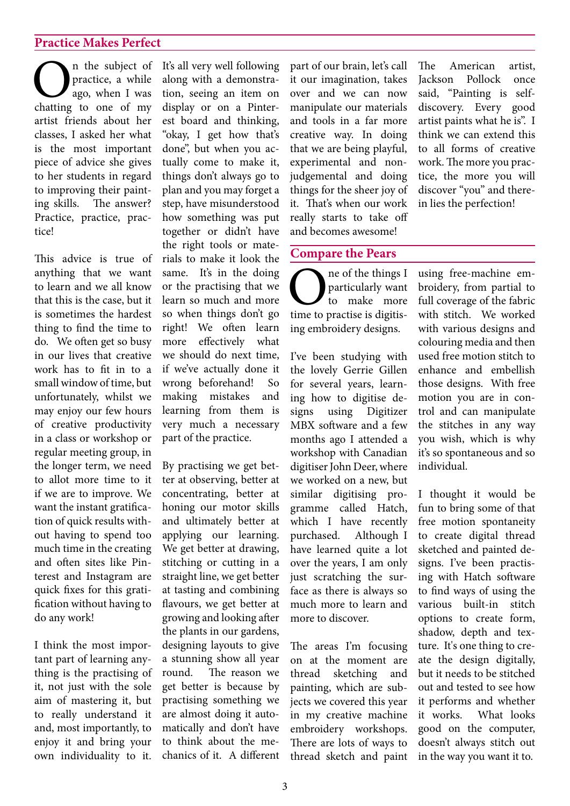## **Practice Makes Perfect**

**O**n the subject of<br>practice, a while<br>chatting to one of my practice, a while ago, when I was artist friends about her classes, I asked her what is the most important piece of advice she gives to her students in regard to improving their painting skills. The answer? Practice, practice, practice!

This advice is true of anything that we want to learn and we all know that this is the case, but it is sometimes the hardest thing to find the time to do. We often get so busy in our lives that creative work has to fit in to a small window of time, but unfortunately, whilst we may enjoy our few hours of creative productivity in a class or workshop or regular meeting group, in the longer term, we need to allot more time to it if we are to improve. We want the instant gratification of quick results without having to spend too much time in the creating and often sites like Pinterest and Instagram are quick fixes for this gratification without having to do any work!

I think the most important part of learning anything is the practising of it, not just with the sole aim of mastering it, but to really understand it and, most importantly, to enjoy it and bring your own individuality to it.

It's all very well following along with a demonstration, seeing an item on display or on a Pinterest board and thinking, "okay, I get how that's done", but when you actually come to make it, things don't always go to plan and you may forget a step, have misunderstood how something was put together or didn't have the right tools or materials to make it look the same. It's in the doing or the practising that we learn so much and more so when things don't go right! We often learn more effectively what we should do next time, if we've actually done it wrong beforehand! So making mistakes and learning from them is very much a necessary part of the practice.

By practising we get better at observing, better at concentrating, better at honing our motor skills and ultimately better at applying our learning. We get better at drawing, stitching or cutting in a straight line, we get better at tasting and combining flavours, we get better at growing and looking after the plants in our gardens, designing layouts to give a stunning show all year round. The reason we get better is because by practising something we are almost doing it automatically and don't have to think about the mechanics of it. A different part of our brain, let's call it our imagination, takes over and we can now manipulate our materials and tools in a far more creative way. In doing that we are being playful, experimental and nonjudgemental and doing things for the sheer joy of it. That's when our work really starts to take off and becomes awesome!

The American artist, Jackson Pollock once said, "Painting is selfdiscovery. Every good artist paints what he is". I think we can extend this to all forms of creative work. The more you practice, the more you will discover "you" and therein lies the perfection!

#### **Compare the Pears**

One of the things I<br>to make more<br>time to practise is digitisparticularly want to make more ing embroidery designs.

I've been studying with the lovely Gerrie Gillen for several years, learning how to digitise designs using Digitizer MBX software and a few months ago I attended a workshop with Canadian digitiser John Deer, where we worked on a new, but similar digitising programme called Hatch, which I have recently purchased. Although I have learned quite a lot over the years, I am only just scratching the surface as there is always so much more to learn and more to discover.

The areas I'm focusing on at the moment are thread sketching and painting, which are subjects we covered this year in my creative machine embroidery workshops. There are lots of ways to thread sketch and paint

using free-machine embroidery, from partial to full coverage of the fabric with stitch. We worked with various designs and colouring media and then used free motion stitch to enhance and embellish those designs. With free motion you are in control and can manipulate the stitches in any way you wish, which is why it's so spontaneous and so individual.

I thought it would be fun to bring some of that free motion spontaneity to create digital thread sketched and painted designs. I've been practising with Hatch software to find ways of using the various built-in stitch options to create form, shadow, depth and texture. It's one thing to create the design digitally, but it needs to be stitched out and tested to see how it performs and whether it works. What looks good on the computer, doesn't always stitch out in the way you want it to.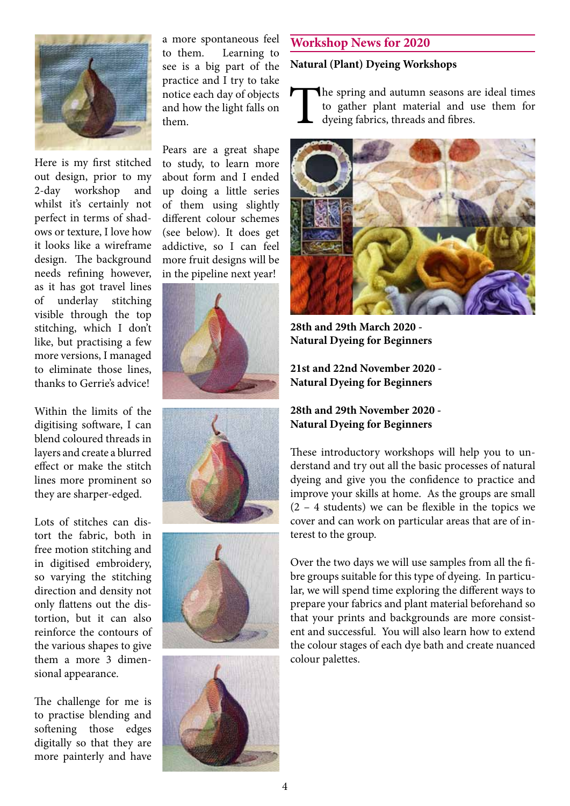

Here is my first stitched out design, prior to my 2-day workshop and whilst it's certainly not perfect in terms of shadows or texture, I love how it looks like a wireframe design. The background needs refining however, as it has got travel lines of underlay stitching visible through the top stitching, which I don't like, but practising a few more versions, I managed to eliminate those lines, thanks to Gerrie's advice!

Within the limits of the digitising software, I can blend coloured threads in layers and create a blurred effect or make the stitch lines more prominent so they are sharper-edged.

Lots of stitches can distort the fabric, both in free motion stitching and in digitised embroidery, so varying the stitching direction and density not only flattens out the distortion, but it can also reinforce the contours of the various shapes to give them a more 3 dimensional appearance.

The challenge for me is to practise blending and softening those edges digitally so that they are more painterly and have

a more spontaneous feel to them. Learning to see is a big part of the practice and I try to take notice each day of objects and how the light falls on them.

Pears are a great shape to study, to learn more about form and I ended up doing a little series of them using slightly different colour schemes (see below). It does get addictive, so I can feel more fruit designs will be in the pipeline next year!









## **Workshop News for 2020**

#### **Natural (Plant) Dyeing Workshops**

The spring and autumn seasons are ideal times<br>to gather plant material and use them for<br>dyeing fabrics, threads and fibres. to gather plant material and use them for dyeing fabrics, threads and fibres.



**28th and 29th March 2020 - Natural Dyeing for Beginners** 

**21st and 22nd November 2020 - Natural Dyeing for Beginners**

## **28th and 29th November 2020 - Natural Dyeing for Beginners**

These introductory workshops will help you to understand and try out all the basic processes of natural dyeing and give you the confidence to practice and improve your skills at home. As the groups are small  $(2 - 4$  students) we can be flexible in the topics we cover and can work on particular areas that are of interest to the group.

Over the two days we will use samples from all the fibre groups suitable for this type of dyeing. In particular, we will spend time exploring the different ways to prepare your fabrics and plant material beforehand so that your prints and backgrounds are more consistent and successful. You will also learn how to extend the colour stages of each dye bath and create nuanced colour palettes.